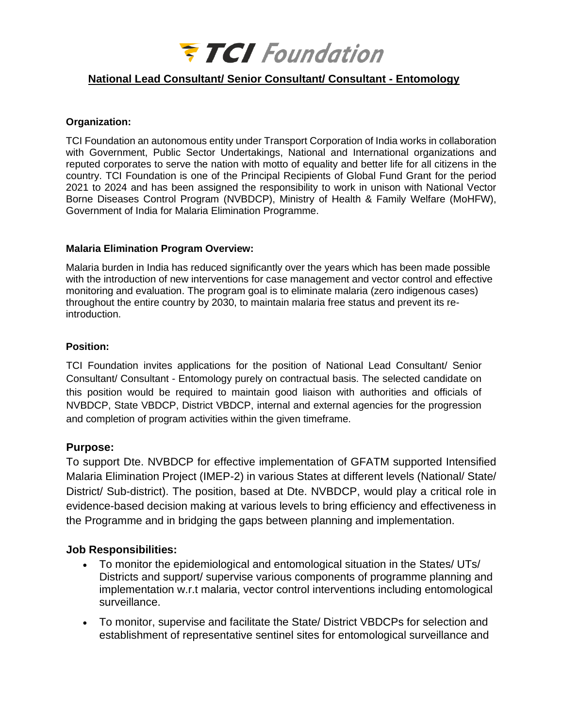

# **National Lead Consultant/ Senior Consultant/ Consultant - Entomology**

#### **Organization:**

TCI Foundation an autonomous entity under Transport Corporation of India works in collaboration with Government, Public Sector Undertakings, National and International organizations and reputed corporates to serve the nation with motto of equality and better life for all citizens in the country. TCI Foundation is one of the Principal Recipients of Global Fund Grant for the period 2021 to 2024 and has been assigned the responsibility to work in unison with National Vector Borne Diseases Control Program (NVBDCP), Ministry of Health & Family Welfare (MoHFW), Government of India for Malaria Elimination Programme.

#### **Malaria Elimination Program Overview:**

Malaria burden in India has reduced significantly over the years which has been made possible with the introduction of new interventions for case management and vector control and effective monitoring and evaluation. The program goal is to eliminate malaria (zero indigenous cases) throughout the entire country by 2030, to maintain malaria free status and prevent its reintroduction.

### **Position:**

TCI Foundation invites applications for the position of National Lead Consultant/ Senior Consultant/ Consultant - Entomology purely on contractual basis. The selected candidate on this position would be required to maintain good liaison with authorities and officials of NVBDCP, State VBDCP, District VBDCP, internal and external agencies for the progression and completion of program activities within the given timeframe.

### **Purpose:**

To support Dte. NVBDCP for effective implementation of GFATM supported Intensified Malaria Elimination Project (IMEP-2) in various States at different levels (National/ State/ District/ Sub-district). The position, based at Dte. NVBDCP, would play a critical role in evidence-based decision making at various levels to bring efficiency and effectiveness in the Programme and in bridging the gaps between planning and implementation.

### **Job Responsibilities:**

- To monitor the epidemiological and entomological situation in the States/ UTs/ Districts and support/ supervise various components of programme planning and implementation w.r.t malaria, vector control interventions including entomological surveillance.
- To monitor, supervise and facilitate the State/ District VBDCPs for selection and establishment of representative sentinel sites for entomological surveillance and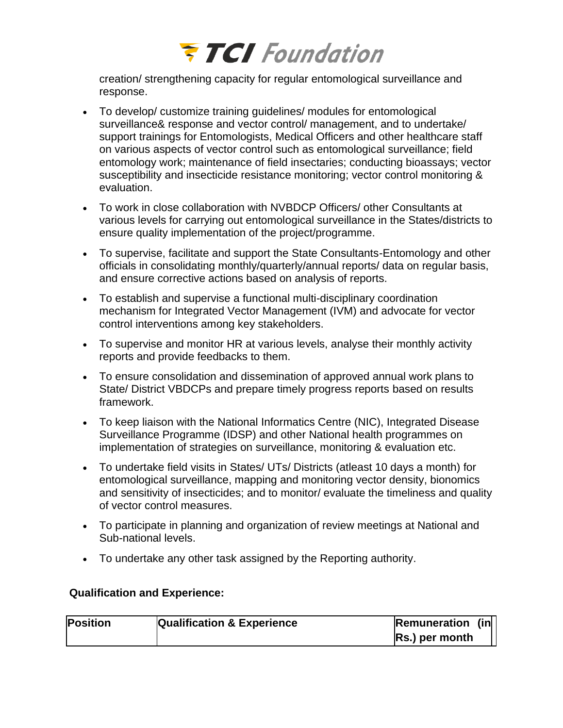

creation/ strengthening capacity for regular entomological surveillance and response.

- To develop/ customize training guidelines/ modules for entomological surveillance& response and vector control/ management, and to undertake/ support trainings for Entomologists, Medical Officers and other healthcare staff on various aspects of vector control such as entomological surveillance; field entomology work; maintenance of field insectaries; conducting bioassays; vector susceptibility and insecticide resistance monitoring; vector control monitoring & evaluation.
- To work in close collaboration with NVBDCP Officers/ other Consultants at various levels for carrying out entomological surveillance in the States/districts to ensure quality implementation of the project/programme.
- To supervise, facilitate and support the State Consultants-Entomology and other officials in consolidating monthly/quarterly/annual reports/ data on regular basis, and ensure corrective actions based on analysis of reports.
- To establish and supervise a functional multi-disciplinary coordination mechanism for Integrated Vector Management (IVM) and advocate for vector control interventions among key stakeholders.
- To supervise and monitor HR at various levels, analyse their monthly activity reports and provide feedbacks to them.
- To ensure consolidation and dissemination of approved annual work plans to State/ District VBDCPs and prepare timely progress reports based on results framework.
- To keep liaison with the National Informatics Centre (NIC), Integrated Disease Surveillance Programme (IDSP) and other National health programmes on implementation of strategies on surveillance, monitoring & evaluation etc.
- To undertake field visits in States/ UTs/ Districts (atleast 10 days a month) for entomological surveillance, mapping and monitoring vector density, bionomics and sensitivity of insecticides; and to monitor/ evaluate the timeliness and quality of vector control measures.
- To participate in planning and organization of review meetings at National and Sub-national levels.
- To undertake any other task assigned by the Reporting authority.

## **Qualification and Experience:**

| <b>Position</b> | <b>Qualification &amp; Experience</b> | <b>Remuneration (in</b> |  |
|-----------------|---------------------------------------|-------------------------|--|
|                 |                                       | Rs.) per month          |  |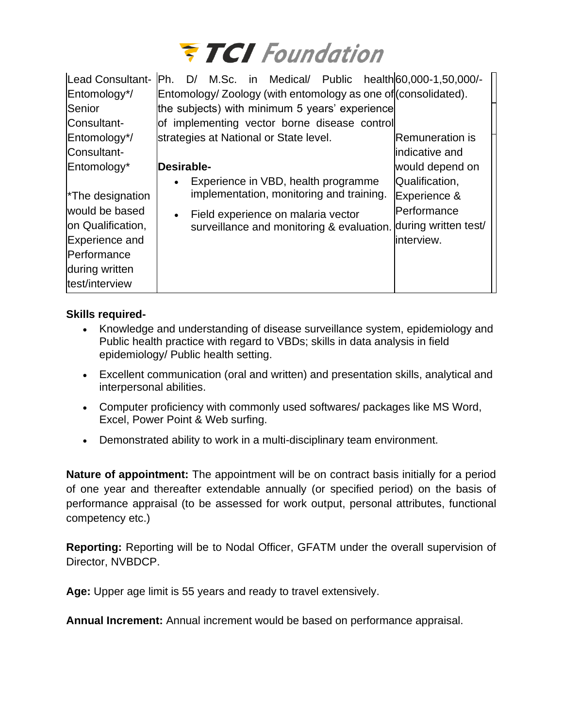

| Lead Consultant-<br>Entomology*/<br>Senior<br>Consultant-                                                              | M.Sc. in Medical/ Public health 60,000-1,50,000/-<br>Ph.<br>D/<br>Entomology/ Zoology (with entomology as one of (consolidated).<br>the subjects) with minimum 5 years' experience<br>of implementing vector borne disease control |                                                                                |
|------------------------------------------------------------------------------------------------------------------------|------------------------------------------------------------------------------------------------------------------------------------------------------------------------------------------------------------------------------------|--------------------------------------------------------------------------------|
| Entomology*/<br>Consultant-<br>Entomology*                                                                             | strategies at National or State level.<br>Desirable-<br>Experience in VBD, health programme                                                                                                                                        | <b>Remuneration is</b><br>lindicative and<br>would depend on<br>Qualification, |
| <sup>*</sup> The designation<br>would be based<br>on Qualification,<br>Experience and<br>Performance<br>during written | implementation, monitoring and training.<br>Field experience on malaria vector<br>surveillance and monitoring & evaluation. during written test/                                                                                   | Experience &<br>Performance<br>interview.                                      |
| test/interview                                                                                                         |                                                                                                                                                                                                                                    |                                                                                |

## **Skills required-**

- Knowledge and understanding of disease surveillance system, epidemiology and Public health practice with regard to VBDs; skills in data analysis in field epidemiology/ Public health setting.
- Excellent communication (oral and written) and presentation skills, analytical and interpersonal abilities.
- Computer proficiency with commonly used softwares/ packages like MS Word, Excel, Power Point & Web surfing.
- Demonstrated ability to work in a multi-disciplinary team environment.

**Nature of appointment:** The appointment will be on contract basis initially for a period of one year and thereafter extendable annually (or specified period) on the basis of performance appraisal (to be assessed for work output, personal attributes, functional competency etc.)

**Reporting:** Reporting will be to Nodal Officer, GFATM under the overall supervision of Director, NVBDCP.

**Age:** Upper age limit is 55 years and ready to travel extensively.

**Annual Increment:** Annual increment would be based on performance appraisal.